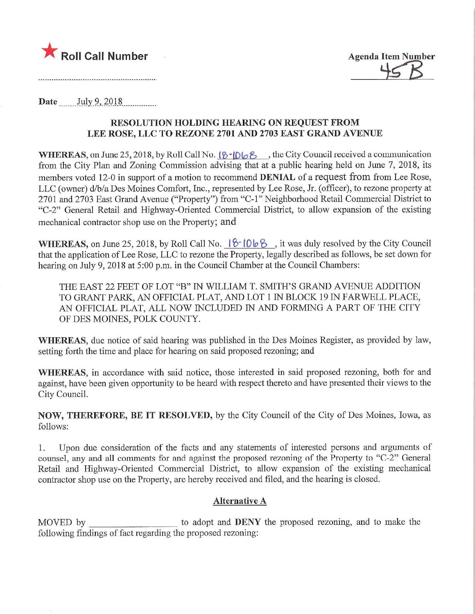



Date July 9, 2018.

## RESOLUTION HOLDING HEARING ON REQUEST FROM LEE ROSE, LLC TO REZONE 2701 AND 2703 EAST GRAND AVENUE

WHEREAS, on June 25, 2018, by Roll Call No.  $\{8 \cdot 106\}$ , the City Council received a communication from the City Plan and Zoning Commission advising that at a public hearing held on June 7, 2018, its members voted 12-0 in support of a motion to recommend DENIAL of a request from from Lee Rose, LLC (owner) d/b/a Des Moines Comfort, Inc., represented by Lee Rose, Jr. (officer), to rezone property at 2701 and 2703 East Grand Avenue ("Property") from "C-l" Neighborhood Retail Commercial District to "C-2" General Retail and Highway-Oriented Commercial District, to allow expansion of the existing mechanical contractor shop use on the Property; and

WHEREAS, on June 25, 2018, by Roll Call No.  $6\frac{6}{106}\frac{1}{6}$ , it was duly resolved by the City Council that the application of Lee Rose, LLC to rezone the Property, legally described as follows, be set down for hearing on July 9, 2018 at 5:00 p.m. in the Council Chamber at the Council Chambers:

THE EAST 22 FEET OF LOT "B" IN WILLIAM T. SMITH'S GRAND AVENUE ADDITION TO GRANT PARK, AN OFFICIAL PLAT, AND LOT 1 IN BLOCK 19 IN FARWELL PLACE, AN OFFICIAL PLAT, ALL NOW INCLUDED IN AND FORMING A PART OF THE CITY OF DES MOINES, POLK COUNTY.

WHEREAS, due notice of said hearing was published in the Des Moines Register, as provided by law, setting forth the time and place for hearing on said proposed rezoning; and

WHEREAS, in accordance with said notice, those interested in said proposed rezoning, both for and against, have been given opportunity to be heard with respect thereto and have presented their views to the City Council.

NOW, THEREFORE, BE IT RESOLVED, by the City Council of the City of Des Moines, Iowa, as follows:

1. Upon due consideration of the facts and any statements of interested persons and arguments of counsel, any and all comments for and against the proposed rezoning of the Property to "C-2" General Retail and Highway-Oriented Commercial District, to allow expansion of the existing mechanical contractor shop use on the Property, arc hereby received and filed, and the hearing is closed.

## Alternative A

MOVED by to adopt and **DENY** the proposed rezoning, and to make the following findings of fact regarding the proposed rezoning: